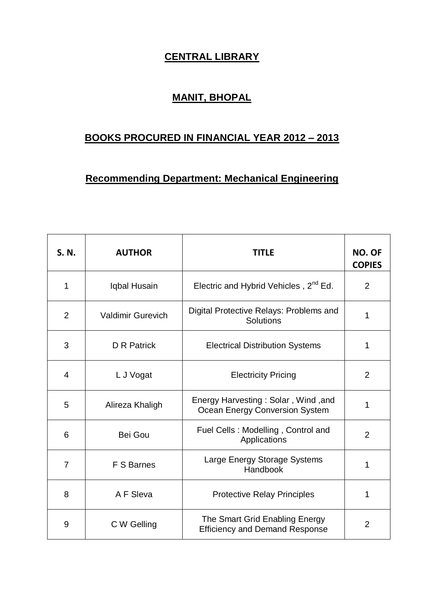## **CENTRAL LIBRARY**

## **MANIT, BHOPAL**

## **BOOKS PROCURED IN FINANCIAL YEAR 2012 – 2013**

## **Recommending Department: Mechanical Engineering**

| S. N.          | <b>AUTHOR</b>            | <b>TITLE</b>                                                            | NO. OF<br><b>COPIES</b> |
|----------------|--------------------------|-------------------------------------------------------------------------|-------------------------|
| 1              | Iqbal Husain             | Electric and Hybrid Vehicles, 2 <sup>nd</sup> Ed.                       | $\overline{2}$          |
| $\overline{2}$ | <b>Valdimir Gurevich</b> | Digital Protective Relays: Problems and<br>Solutions                    | 1                       |
| 3              | <b>D</b> R Patrick       | <b>Electrical Distribution Systems</b>                                  | 1                       |
| $\overline{4}$ | L J Vogat                | <b>Electricity Pricing</b>                                              | $\overline{2}$          |
| 5              | Alireza Khaligh          | Energy Harvesting: Solar, Wind, and<br>Ocean Energy Conversion System   | 1                       |
| 6              | Bei Gou                  | Fuel Cells: Modelling, Control and<br>Applications                      | $\overline{2}$          |
| $\overline{7}$ | F S Barnes               | Large Energy Storage Systems<br>Handbook                                | 1                       |
| 8              | A F Sleva                | <b>Protective Relay Principles</b>                                      | 1                       |
| 9              | C W Gelling              | The Smart Grid Enabling Energy<br><b>Efficiency and Demand Response</b> | $\overline{2}$          |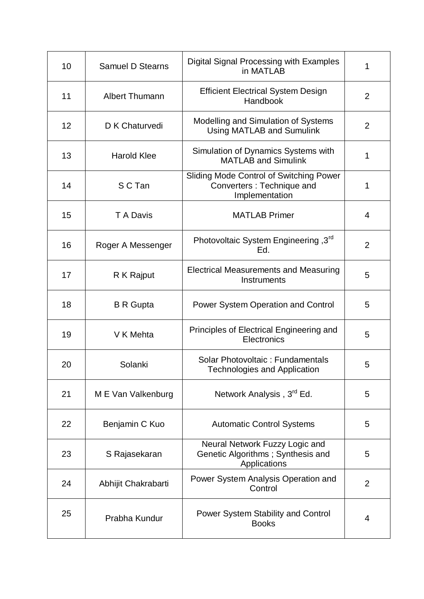| 10 | <b>Samuel D Stearns</b> | Digital Signal Processing with Examples<br>in MATLAB                                   | 1              |
|----|-------------------------|----------------------------------------------------------------------------------------|----------------|
| 11 | <b>Albert Thumann</b>   | <b>Efficient Electrical System Design</b><br>Handbook                                  | 2              |
| 12 | D K Chaturvedi          | Modelling and Simulation of Systems<br>Using MATLAB and Sumulink                       | 2              |
| 13 | <b>Harold Klee</b>      | Simulation of Dynamics Systems with<br><b>MATLAB and Simulink</b>                      | 1              |
| 14 | S C Tan                 | Sliding Mode Control of Switching Power<br>Converters: Technique and<br>Implementation | 1              |
| 15 | T A Davis               | <b>MATLAB Primer</b>                                                                   | 4              |
| 16 | Roger A Messenger       | Photovoltaic System Engineering, 3rd<br>Ed.                                            | 2              |
| 17 | R K Rajput              | <b>Electrical Measurements and Measuring</b><br>Instruments                            | 5              |
| 18 | <b>B</b> R Gupta        | <b>Power System Operation and Control</b>                                              | 5              |
| 19 | V K Mehta               | Principles of Electrical Engineering and<br>Electronics                                | 5              |
| 20 | Solanki                 | Solar Photovoltaic: Fundamentals<br><b>Technologies and Application</b>                | 5              |
| 21 | M E Van Valkenburg      | Network Analysis, 3 <sup>rd</sup> Ed.                                                  | 5              |
| 22 | Benjamin C Kuo          | <b>Automatic Control Systems</b>                                                       | 5              |
| 23 | S Rajasekaran           | Neural Network Fuzzy Logic and<br>Genetic Algorithms; Synthesis and<br>Applications    | 5              |
| 24 | Abhijit Chakrabarti     | Power System Analysis Operation and<br>Control                                         | $\overline{2}$ |
| 25 | Prabha Kundur           | Power System Stability and Control<br><b>Books</b>                                     | 4              |